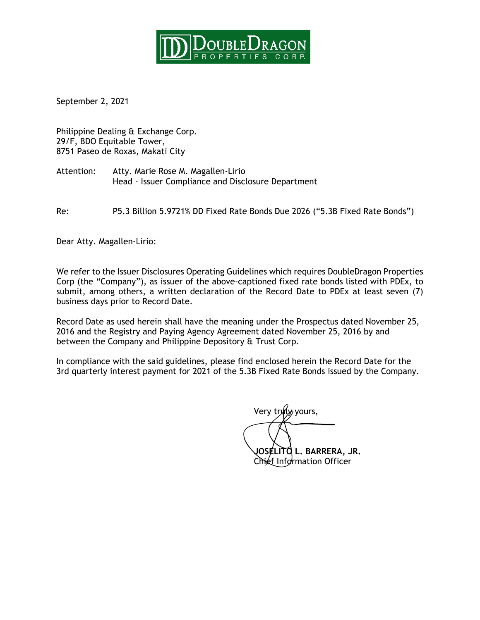

September 2, 2021

Philippine Dealing & Exchange Corp. 29/F, BDO Equitable Tower, 8751 Paseo de Roxas, Makati City

Attention: Atty. Marie Rose M. Magallen-Lirio Head - Issuer Compliance and Disclosure Department

Re: P5.3 Billion 5.9721% DD Fixed Rate Bonds Due 2026 ("5.3B Fixed Rate Bonds")

Dear Atty. Magallen-Lirio:

We refer to the Issuer Disclosures Operating Guidelines which requires DoubleDragon Properties Corp (the "Company"), as issuer of the above-captioned fixed rate bonds listed with PDEx, to submit, among others, a written declaration of the Record Date to PDEx at least seven (7) business days prior to Record Date.

Record Date as used herein shall have the meaning under the Prospectus dated November 25, 2016 and the Registry and Paying Agency Agreement dated November 25, 2016 by and between the Company and Philippine Depository & Trust Corp.

In compliance with the said guidelines, please find enclosed herein the Record Date for the 3rd quarterly interest payment for 2021 of the 5.3B Fixed Rate Bonds issued by the Company.

Very truly yours, **JOSELITO L. BARRERA, JR.** Chief Information Officer